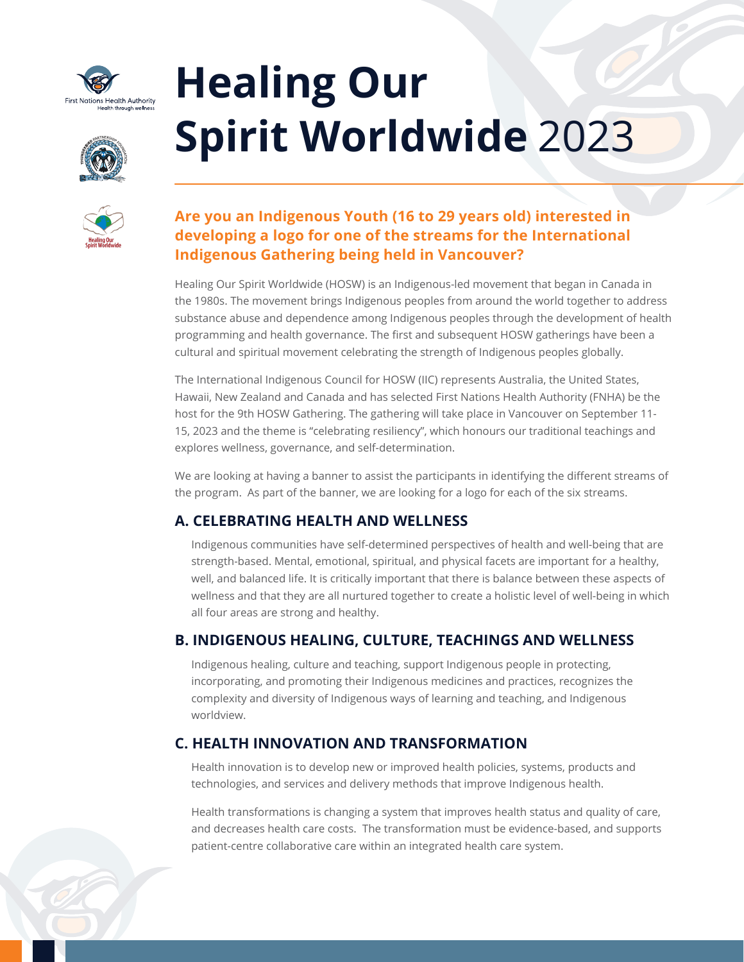

# **Healing Our Spirit Worldwide** 2023



# **Are you an Indigenous Youth (16 to 29 years old) interested in developing a logo for one of the streams for the International Indigenous Gathering being held in Vancouver?**

Healing Our Spirit Worldwide (HOSW) is an Indigenous-led movement that began in Canada in the 1980s. The movement brings Indigenous peoples from around the world together to address substance abuse and dependence among Indigenous peoples through the development of health programming and health governance. The first and subsequent HOSW gatherings have been a cultural and spiritual movement celebrating the strength of Indigenous peoples globally.

The International Indigenous Council for HOSW (IIC) represents Australia, the United States, Hawaii, New Zealand and Canada and has selected First Nations Health Authority (FNHA) be the host for the 9th HOSW Gathering. The gathering will take place in Vancouver on September 11- 15, 2023 and the theme is "celebrating resiliency", which honours our traditional teachings and explores wellness, governance, and self-determination.

We are looking at having a banner to assist the participants in identifying the different streams of the program. As part of the banner, we are looking for a logo for each of the six streams.

## **A. CELEBRATING HEALTH AND WELLNESS**

Indigenous communities have self-determined perspectives of health and well-being that are strength-based. Mental, emotional, spiritual, and physical facets are important for a healthy, well, and balanced life. It is critically important that there is balance between these aspects of wellness and that they are all nurtured together to create a holistic level of well-being in which all four areas are strong and healthy.

# **B. INDIGENOUS HEALING, CULTURE, TEACHINGS AND WELLNESS**

Indigenous healing, culture and teaching, support Indigenous people in protecting, incorporating, and promoting their Indigenous medicines and practices, recognizes the complexity and diversity of Indigenous ways of learning and teaching, and Indigenous worldview.

# **C. HEALTH INNOVATION AND TRANSFORMATION**

Health innovation is to develop new or improved health policies, systems, products and technologies, and services and delivery methods that improve Indigenous health.

Health transformations is changing a system that improves health status and quality of care, and decreases health care costs. The transformation must be evidence-based, and supports patient-centre collaborative care within an integrated health care system.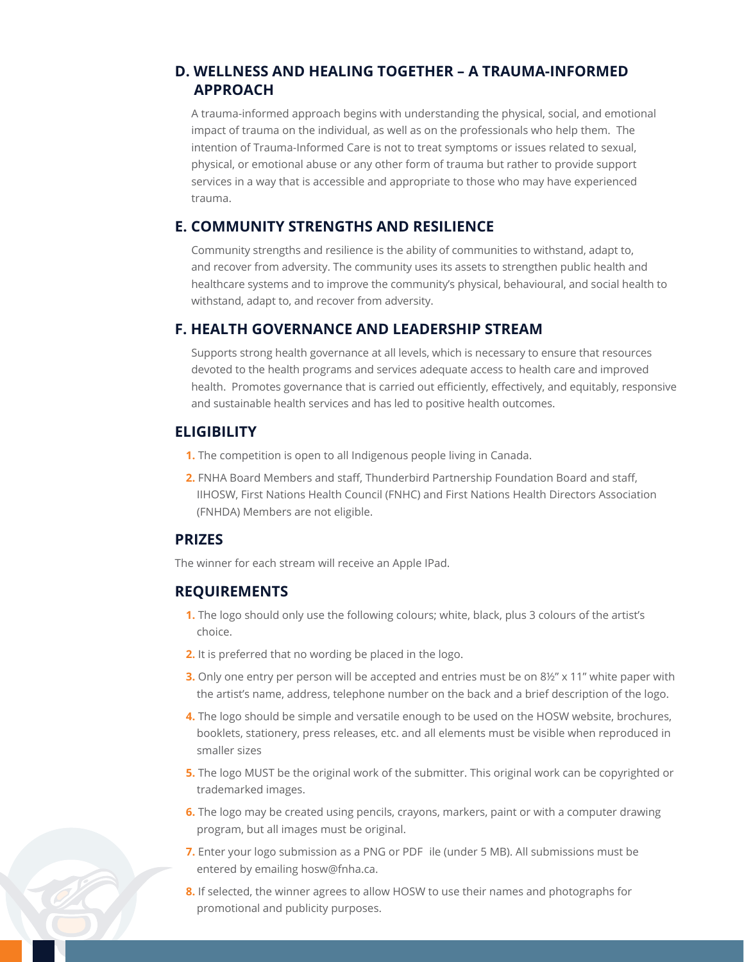#### **D. WELLNESS AND HEALING TOGETHER – A TRAUMA-INFORMED APPROACH**

A trauma-informed approach begins with understanding the physical, social, and emotional impact of trauma on the individual, as well as on the professionals who help them. The intention of Trauma-Informed Care is not to treat symptoms or issues related to sexual, physical, or emotional abuse or any other form of trauma but rather to provide support services in a way that is accessible and appropriate to those who may have experienced trauma.

#### **E. COMMUNITY STRENGTHS AND RESILIENCE**

Community strengths and resilience is the ability of communities to withstand, adapt to, and recover from adversity. The community uses its assets to strengthen public health and healthcare systems and to improve the community's physical, behavioural, and social health to withstand, adapt to, and recover from adversity.

#### **F. HEALTH GOVERNANCE AND LEADERSHIP STREAM**

Supports strong health governance at all levels, which is necessary to ensure that resources devoted to the health programs and services adequate access to health care and improved health. Promotes governance that is carried out efficiently, effectively, and equitably, responsive and sustainable health services and has led to positive health outcomes.

#### **ELIGIBILITY**

- **1.** The competition is open to all Indigenous people living in Canada.
- **2.** FNHA Board Members and staff, Thunderbird Partnership Foundation Board and staff, IIHOSW, First Nations Health Council (FNHC) and First Nations Health Directors Association (FNHDA) Members are not eligible.

### **PRIZES**

The winner for each stream will receive an Apple IPad.

### **REQUIREMENTS**

- **1.** The logo should only use the following colours; white, black, plus 3 colours of the artist's choice.
- **2.** It is preferred that no wording be placed in the logo.
- **3.** Only one entry per person will be accepted and entries must be on 8½" x 11" white paper with the artist's name, address, telephone number on the back and a brief description of the logo.
- **4.** The logo should be simple and versatile enough to be used on the HOSW website, brochures, booklets, stationery, press releases, etc. and all elements must be visible when reproduced in smaller sizes
- **5.** The logo MUST be the original work of the submitter. This original work can be copyrighted or trademarked images.
- **6.** The logo may be created using pencils, crayons, markers, paint or with a computer drawing program, but all images must be original.
- **7.** Enter your logo submission as a PNG or PDF ile (under 5 MB). All submissions must be entered by emailing [hosw@fnha.ca](mailto:hosw@fnha.ca).
- **8.** If selected, the winner agrees to allow HOSW to use their names and photographs for promotional and publicity purposes.